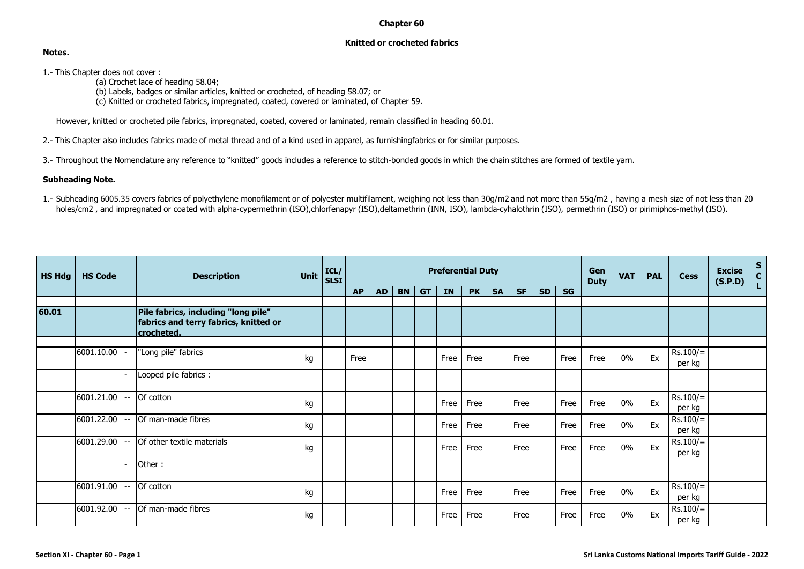## **Chapter 60**

## **Knitted or crocheted fabrics**

## **Notes.**

- 1.- This Chapter does not cover :
	- (a) Crochet lace of heading 58.04;
	- (b) Labels, badges or similar articles, knitted or crocheted, of heading 58.07; or
	- (c) Knitted or crocheted fabrics, impregnated, coated, covered or laminated, of Chapter 59.

However, knitted or crocheted pile fabrics, impregnated, coated, covered or laminated, remain classified in heading 60.01.

- 2.- This Chapter also includes fabrics made of metal thread and of a kind used in apparel, as furnishingfabrics or for similar purposes.
- 3.- Throughout the Nomenclature any reference to "knitted" goods includes a reference to stitch-bonded goods in which the chain stitches are formed of textile yarn.

## **Subheading Note.**

1.- Subheading 6005.35 covers fabrics of polyethylene monofilament or of polyester multifilament, weighing not less than 30g/m2 and not more than 55g/m2 , having a mesh size of not less than 20 holes/cm2, and impregnated or coated with alpha-cypermethrin (ISO),chlorfenapyr (ISO),deltamethrin (INN, ISO), lambda-cyhalothrin (ISO), permethrin (ISO) or pirimiphos-methyl (ISO).

| <b>HS Hdg</b> | <b>HS Code</b> | <b>Description</b>                                                                         | <b>Unit</b> | ICL/<br><b>SLSI</b> | <b>Preferential Duty</b> |           |           |           |           |           |           |           |           |           |             | <b>VAT</b> | <b>PAL</b> | <b>Cess</b>          | <b>Excise</b><br>(S.P.D) | $S_{C}$<br>Ĺ. |
|---------------|----------------|--------------------------------------------------------------------------------------------|-------------|---------------------|--------------------------|-----------|-----------|-----------|-----------|-----------|-----------|-----------|-----------|-----------|-------------|------------|------------|----------------------|--------------------------|---------------|
|               |                |                                                                                            |             |                     | <b>AP</b>                | <b>AD</b> | <b>BN</b> | <b>GT</b> | <b>IN</b> | <b>PK</b> | <b>SA</b> | <b>SF</b> | <b>SD</b> | <b>SG</b> | <b>Duty</b> |            |            |                      |                          |               |
| 60.01         |                | Pile fabrics, including "long pile"<br>fabrics and terry fabrics, knitted or<br>crocheted. |             |                     |                          |           |           |           |           |           |           |           |           |           |             |            |            |                      |                          |               |
|               | 6001.10.00     | "Long pile" fabrics                                                                        | kg          |                     | Free                     |           |           |           | Free      | Free      |           | Free      |           | Free      | Free        | $0\%$      | Ex         | $Rs.100/=$<br>per kg |                          |               |
|               |                | Looped pile fabrics :                                                                      |             |                     |                          |           |           |           |           |           |           |           |           |           |             |            |            |                      |                          |               |
|               | 6001.21.00     | Of cotton                                                                                  | kg          |                     |                          |           |           |           | Free      | Free      |           | Free      |           | Free      | Free        | $0\%$      | Ex         | $Rs.100/=$<br>per kg |                          |               |
|               | 6001.22.00     | Of man-made fibres                                                                         | kg          |                     |                          |           |           |           | Free      | Free      |           | Free      |           | Free      | Free        | $0\%$      | Ex         | $Rs.100/=$<br>per kg |                          |               |
|               | 6001.29.00     | Of other textile materials                                                                 | kg          |                     |                          |           |           |           | Free      | Free      |           | Free      |           | Free      | Free        | $0\%$      | Ex         | $Rs.100/=$<br>per kg |                          |               |
|               |                | Other:                                                                                     |             |                     |                          |           |           |           |           |           |           |           |           |           |             |            |            |                      |                          |               |
|               | 6001.91.00     | Of cotton                                                                                  | kg          |                     |                          |           |           |           | Free      | Free      |           | Free      |           | Free      | Free        | $0\%$      | Ex         | $Rs.100/=$<br>per kg |                          |               |
|               | 6001.92.00     | Of man-made fibres                                                                         | kg          |                     |                          |           |           |           | Free      | Free      |           | Free      |           | Free      | Free        | $0\%$      | Ex         | $Rs.100/=$<br>per kg |                          |               |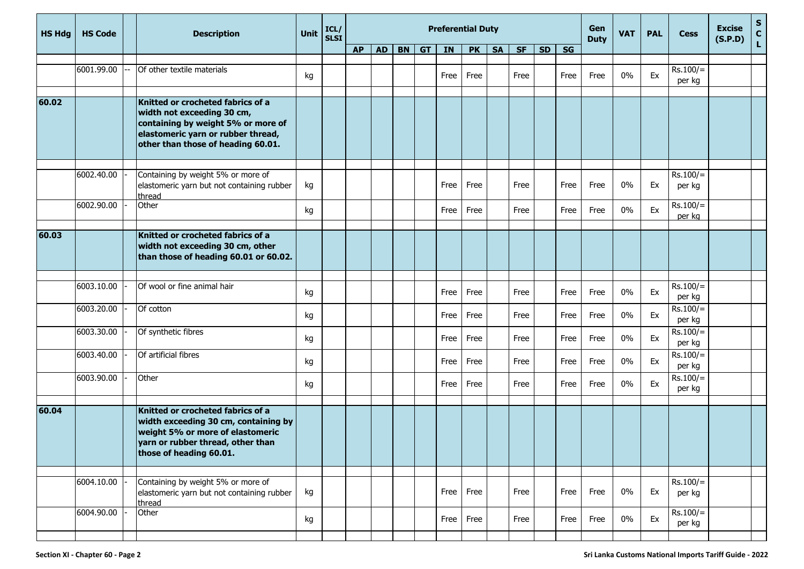| <b>HS Hdg</b> | <b>HS Code</b> | <b>Description</b>                                                                                                                                                                | <b>Unit</b> | ICL/<br><b>SLSI</b> | <b>Preferential Duty</b> |           |           |           |      |           |           |           |           |      | Gen<br><b>Duty</b> | <b>VAT</b> | <b>PAL</b> | <b>Cess</b>          | <b>Excise</b><br>(S.P.D) | $S_{C}$<br>L |
|---------------|----------------|-----------------------------------------------------------------------------------------------------------------------------------------------------------------------------------|-------------|---------------------|--------------------------|-----------|-----------|-----------|------|-----------|-----------|-----------|-----------|------|--------------------|------------|------------|----------------------|--------------------------|--------------|
|               |                |                                                                                                                                                                                   |             |                     | <b>AP</b>                | <b>AD</b> | <b>BN</b> | <b>GT</b> | IN   | <b>PK</b> | <b>SA</b> | <b>SF</b> | <b>SD</b> | SG   |                    |            |            |                      |                          |              |
|               | 6001.99.00     | Of other textile materials                                                                                                                                                        | kg          |                     |                          |           |           |           | Free | Free      |           | Free      |           | Free | Free               | 0%         | Ex         | $Rs.100/=$<br>per kg |                          |              |
| 60.02         |                | Knitted or crocheted fabrics of a<br>width not exceeding 30 cm,<br>containing by weight 5% or more of<br>elastomeric yarn or rubber thread,<br>other than those of heading 60.01. |             |                     |                          |           |           |           |      |           |           |           |           |      |                    |            |            |                      |                          |              |
|               | 6002.40.00     | Containing by weight 5% or more of<br>elastomeric yarn but not containing rubber<br>thread                                                                                        | kg          |                     |                          |           |           |           | Free | Free      |           | Free      |           | Free | Free               | 0%         | Ex         | $Rs.100/=$<br>per kg |                          |              |
|               | 6002.90.00     | Other                                                                                                                                                                             | kg          |                     |                          |           |           |           | Free | Free      |           | Free      |           | Free | Free               | 0%         | Ex         | $Rs.100/=$<br>per kg |                          |              |
| 60.03         |                | Knitted or crocheted fabrics of a<br>width not exceeding 30 cm, other<br>than those of heading 60.01 or 60.02.                                                                    |             |                     |                          |           |           |           |      |           |           |           |           |      |                    |            |            |                      |                          |              |
|               |                |                                                                                                                                                                                   |             |                     |                          |           |           |           |      |           |           |           |           |      |                    |            |            |                      |                          |              |
|               | 6003.10.00     | Of wool or fine animal hair                                                                                                                                                       | kg          |                     |                          |           |           |           | Free | Free      |           | Free      |           | Free | Free               | 0%         | Ex         | $Rs.100/=$<br>per kg |                          |              |
|               | 6003.20.00     | Of cotton                                                                                                                                                                         | kg          |                     |                          |           |           |           | Free | Free      |           | Free      |           | Free | Free               | 0%         | Ex         | $Rs.100/=$<br>per kg |                          |              |
|               | 6003.30.00     | Of synthetic fibres                                                                                                                                                               | kg          |                     |                          |           |           |           | Free | Free      |           | Free      |           | Free | Free               | 0%         | Ex         | $Rs.100/=$<br>per kg |                          |              |
|               | 6003.40.00     | Of artificial fibres                                                                                                                                                              | kg          |                     |                          |           |           |           | Free | Free      |           | Free      |           | Free | Free               | 0%         | Ex         | $Rs.100/=$<br>per kg |                          |              |
|               | 6003.90.00     | Other                                                                                                                                                                             | kg          |                     |                          |           |           |           | Free | Free      |           | Free      |           | Free | Free               | 0%         | Ex         | $Rs.100/=$<br>per kg |                          |              |
| 60.04         |                | Knitted or crocheted fabrics of a<br>width exceeding 30 cm, containing by<br>weight 5% or more of elastomeric<br>yarn or rubber thread, other than<br>those of heading 60.01.     |             |                     |                          |           |           |           |      |           |           |           |           |      |                    |            |            |                      |                          |              |
|               | 6004.10.00     | Containing by weight 5% or more of                                                                                                                                                |             |                     |                          |           |           |           |      |           |           |           |           |      |                    |            |            | $Rs.100/=$           |                          |              |
|               |                | elastomeric yarn but not containing rubber<br>thread                                                                                                                              | kg          |                     |                          |           |           |           | Free | Free      |           | Free      |           | Free | Free               | 0%         | Ex         | per kg               |                          |              |
|               | 6004.90.00     | Other                                                                                                                                                                             | kg          |                     |                          |           |           |           | Free | Free      |           | Free      |           | Free | Free               | $0\%$      | Ex         | $Rs.100/=$<br>per kg |                          |              |
|               |                |                                                                                                                                                                                   |             |                     |                          |           |           |           |      |           |           |           |           |      |                    |            |            |                      |                          |              |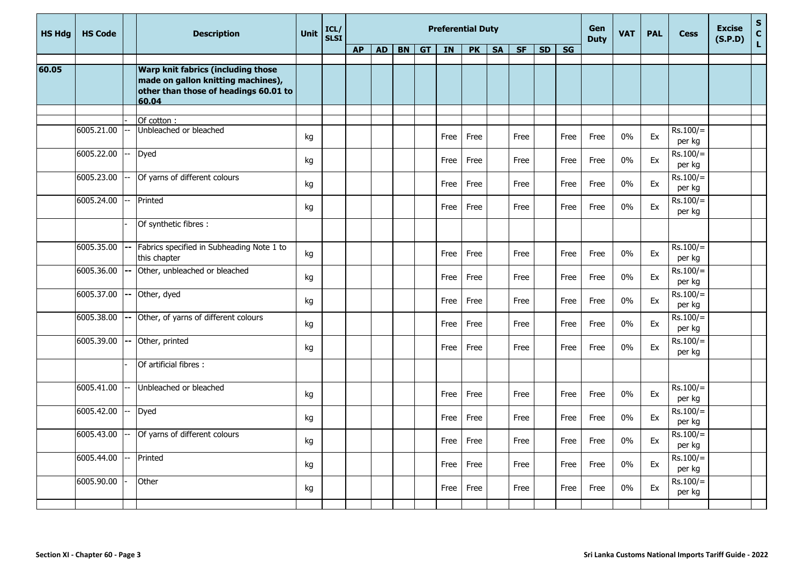| <b>HS Hda</b> | <b>HS Code</b> | <b>Description</b> | <b>Unit</b>                                                                                                                | ICL/<br><b>SLSI</b> |  |           |           |           |    | <b>Preferential Duty</b> | Gen<br><b>Duty</b> | <b>VAT</b> | <b>PAL</b> | <b>Cess</b> | <b>Excise</b><br>(S.P.D) | $\mathbf S$<br>$\frac{c}{L}$ |       |    |                      |  |  |
|---------------|----------------|--------------------|----------------------------------------------------------------------------------------------------------------------------|---------------------|--|-----------|-----------|-----------|----|--------------------------|--------------------|------------|------------|-------------|--------------------------|------------------------------|-------|----|----------------------|--|--|
|               |                |                    |                                                                                                                            |                     |  | <b>AP</b> | <b>AD</b> | <b>BN</b> | GT | <b>IN</b>                | PK                 | <b>SA</b>  | <b>SF</b>  | <b>SD</b>   | $\overline{\text{SG}}$   |                              |       |    |                      |  |  |
| 60.05         |                |                    | Warp knit fabrics (including those<br>made on gallon knitting machines),<br>other than those of headings 60.01 to<br>60.04 |                     |  |           |           |           |    |                          |                    |            |            |             |                          |                              |       |    |                      |  |  |
|               |                |                    |                                                                                                                            |                     |  |           |           |           |    |                          |                    |            |            |             |                          |                              |       |    |                      |  |  |
|               | 6005.21.00     |                    | Of cotton:<br>Unbleached or bleached                                                                                       | kg                  |  |           |           |           |    | Free                     | Free               |            | Free       |             | Free                     | Free                         | $0\%$ | Ex | $Rs.100/=$<br>per kg |  |  |
|               | 6005.22.00     |                    | Dyed                                                                                                                       | kg                  |  |           |           |           |    | Free                     | Free               |            | Free       |             | Free                     | Free                         | 0%    | Ex | $Rs.100/=$<br>per kg |  |  |
|               | 6005.23.00     |                    | Of yarns of different colours                                                                                              | kg                  |  |           |           |           |    | Free                     | Free               |            | Free       |             | Free                     | Free                         | 0%    | Ex | $Rs.100/=$<br>per kg |  |  |
|               | 6005.24.00     |                    | Printed                                                                                                                    | kg                  |  |           |           |           |    | Free                     | Free               |            | Free       |             | Free                     | Free                         | 0%    | Ex | $Rs.100/=$<br>per kg |  |  |
|               |                |                    | Of synthetic fibres :                                                                                                      |                     |  |           |           |           |    |                          |                    |            |            |             |                          |                              |       |    |                      |  |  |
|               | 6005.35.00     | $\mathbf{u}$       | Fabrics specified in Subheading Note 1 to<br>this chapter                                                                  | kg                  |  |           |           |           |    | Free                     | Free               |            | Free       |             | Free                     | Free                         | 0%    | Ex | $Rs.100/=$<br>per kg |  |  |
|               | 6005.36.00     |                    | Other, unbleached or bleached                                                                                              | kg                  |  |           |           |           |    | Free                     | Free               |            | Free       |             | Free                     | Free                         | $0\%$ | Ex | $Rs.100/=$<br>per kg |  |  |
|               | 6005.37.00     | l--                | Other, dyed                                                                                                                | kg                  |  |           |           |           |    | Free                     | Free               |            | Free       |             | Free                     | Free                         | 0%    | Ex | $Rs.100/=$<br>per kg |  |  |
|               | 6005.38.00     |                    | Other, of yarns of different colours                                                                                       | kg                  |  |           |           |           |    | Free                     | Free               |            | Free       |             | Free                     | Free                         | 0%    | Ex | $Rs.100/=$<br>per kg |  |  |
|               | 6005.39.00     |                    | Other, printed                                                                                                             | kg                  |  |           |           |           |    | Free                     | Free               |            | Free       |             | Free                     | Free                         | 0%    | Ex | $Rs.100/=$<br>per kg |  |  |
|               |                |                    | Of artificial fibres :                                                                                                     |                     |  |           |           |           |    |                          |                    |            |            |             |                          |                              |       |    |                      |  |  |
|               | 6005.41.00     |                    | Unbleached or bleached                                                                                                     | kg                  |  |           |           |           |    | Free                     | Free               |            | Free       |             | Free                     | Free                         | 0%    | Ex | $Rs.100/=$<br>per kg |  |  |
|               | 6005.42.00     |                    | Dyed                                                                                                                       | kg                  |  |           |           |           |    | Free                     | Free               |            | Free       |             | Free                     | Free                         | 0%    | Ex | $Rs.100/=$<br>per kg |  |  |
|               | 6005.43.00     |                    | Of yarns of different colours                                                                                              | kg                  |  |           |           |           |    | Free                     | Free               |            | Free       |             | Free                     | Free                         | 0%    | Ex | $Rs.100/=$<br>per kg |  |  |
|               | 6005.44.00     |                    | Printed                                                                                                                    | kg                  |  |           |           |           |    | Free                     | Free               |            | Free       |             | Free                     | Free                         | 0%    | Ex | $Rs.100/=$<br>per kg |  |  |
|               | 6005.90.00     |                    | Other                                                                                                                      | kg                  |  |           |           |           |    | Free                     | Free               |            | Free       |             | Free                     | Free                         | $0\%$ | Ex | $Rs.100/=$<br>per kg |  |  |